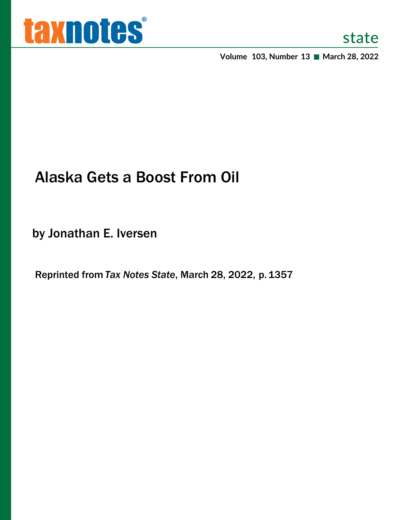

**Volume 103, Number 13 March 28, 2022**

# Alaska Gets a Boost From Oil

by Jonathan E. Iversen

Reprinted from *Tax Notes State*, March 28, 2022, p.1357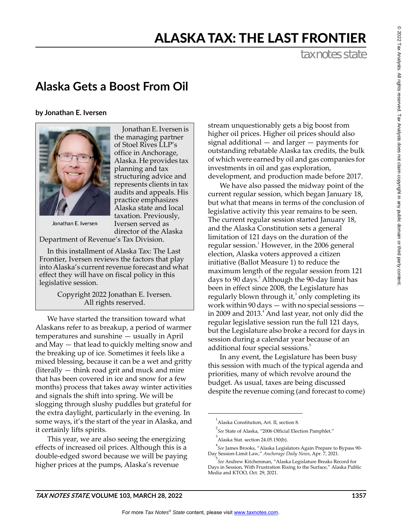## ALASKA TAX: THE LAST FRONTIER

tax notes state

### **Alaska Gets a Boost From Oil**

**by Jonathan E. Iversen**



Jonathan E. Iversen is the managing partner of Stoel Rives LLP's office in Anchorage, Alaska. He provides tax planning and tax structuring advice and represents clients in tax audits and appeals. His practice emphasizes Alaska state and local taxation. Previously, Iversen served as director of the Alaska

Jonathan E. Iversen

Department of Revenue's Tax Division.

In this installment of Alaska Tax: The Last Frontier, Iversen reviews the factors that play into Alaska's current revenue forecast and what effect they will have on fiscal policy in this legislative session.

> Copyright 2022 Jonathan E. Iversen. All rights reserved.

We have started the transition toward what Alaskans refer to as breakup, a period of warmer temperatures and sunshine — usually in April and May — that lead to quickly melting snow and the breaking up of ice. Sometimes it feels like a mixed blessing, because it can be a wet and gritty (literally — think road grit and muck and mire that has been covered in ice and snow for a few months) process that takes away winter activities and signals the shift into spring. We will be slogging through slushy puddles but grateful for the extra daylight, particularly in the evening. In some ways, it's the start of the year in Alaska, and it certainly lifts spirits.

This year, we are also seeing the energizing effects of increased oil prices. Although this is a double-edged sword because we will be paying higher prices at the pumps, Alaska's revenue

stream unquestionably gets a big boost from higher oil prices. Higher oil prices should also signal additional — and larger — payments for outstanding rebatable Alaska tax credits, the bulk of which were earned by oil and gas companies for investments in oil and gas exploration, development, and production made before 2017.

We have also passed the midway point of the current regular session, which began January 18, but what that means in terms of the conclusion of legislative activity this year remains to be seen. The current regular session started January 18, and the Alaska Constitution sets a general limitation of 121 days on the duration of the regular session.<sup>1</sup> However, in the 2006 general election, Alaska voters approved a citizen initiative (Ballot Measure 1) to reduce the maximum length of the regular session from 121 days to 90 days.<sup>2</sup> Although the 90-day limit has been in effect since 2008, the Legislature has regularly blown through it, $3$  only completing its work within 90 days — with no special sessions in 2009 and 2013. $^4$  And last year, not only did the regular legislative session run the full 121 days, but the Legislature also broke a record for days in session during a calendar year because of an additional four special sessions.<sup>5</sup>

In any event, the Legislature has been busy this session with much of the typical agenda and priorities, many of which revolve around the budget. As usual, taxes are being discussed despite the revenue coming (and forecast to come)

<sup>&</sup>lt;sup>1</sup>Alaska Constitution, Art. II, section 8.

<sup>2</sup> *See* State of Alaska, "2006 Official Election Pamphlet."

 $^3$ Alaska Stat. section 24.05.150(b).

<sup>4</sup> *See* James Brooks, "Alaska Legislators Again Prepare to Bypass 90- Day Session-Limit Law," *Anchorage Daily News*, Apr. 7, 2021.

<sup>5</sup> *See* Andrew Kitchenman, "Alaska Legislature Breaks Record for Days in Session, With Frustration Rising to the Surface," Alaska Public Media and KTOO, Oct. 29, 2021.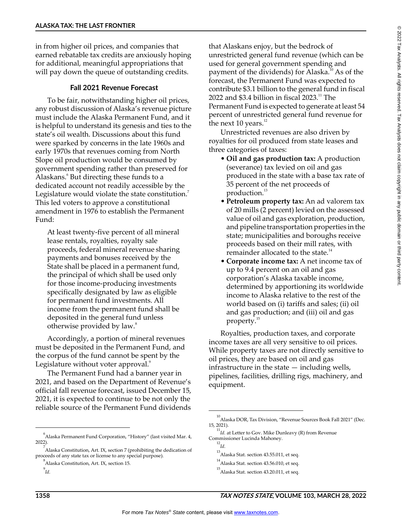in from higher oil prices, and companies that earned rebatable tax credits are anxiously hoping for additional, meaningful appropriations that will pay down the queue of outstanding credits.

#### **Fall 2021 Revenue Forecast**

To be fair, notwithstanding higher oil prices, any robust discussion of Alaska's revenue picture must include the Alaska Permanent Fund, and it is helpful to understand its genesis and ties to the state's oil wealth. Discussions about this fund were sparked by concerns in the late 1960s and early 1970s that revenues coming from North Slope oil production would be consumed by government spending rather than preserved for Alaskans.<sup>6</sup> But directing these funds to a dedicated account not readily accessible by the Legislature would violate the state constitution.<sup>7</sup> This led voters to approve a constitutional amendment in 1976 to establish the Permanent Fund:

At least twenty-five percent of all mineral lease rentals, royalties, royalty sale proceeds, federal mineral revenue sharing payments and bonuses received by the State shall be placed in a permanent fund, the principal of which shall be used only for those income-producing investments specifically designated by law as eligible for permanent fund investments. All income from the permanent fund shall be deposited in the general fund unless otherwise provided by law.<sup>8</sup>

Accordingly, a portion of mineral revenues must be deposited in the Permanent Fund, and the corpus of the fund cannot be spent by the Legislature without voter approval.<sup>9</sup>

The Permanent Fund had a banner year in 2021, and based on the Department of Revenue's official fall revenue forecast, issued December 15, 2021, it is expected to continue to be not only the reliable source of the Permanent Fund dividends

that Alaskans enjoy, but the bedrock of unrestricted general fund revenue (which can be used for general government spending and payment of the dividends) for Alaska.<sup>10</sup> As of the forecast, the Permanent Fund was expected to contribute \$3.1 billion to the general fund in fiscal 2022 and \$3.4 billion in fiscal  $2023$ .<sup>11</sup> The Permanent Fund is expected to generate at least 54 percent of unrestricted general fund revenue for the next 10 years. $^{12}$ 

Unrestricted revenues are also driven by royalties for oil produced from state leases and three categories of taxes:

- **Oil and gas production tax:** A production (severance) tax levied on oil and gas produced in the state with a base tax rate of 35 percent of the net proceeds of production.<sup>13</sup>
- **Petroleum property tax:** An ad valorem tax of 20 mills (2 percent) levied on the assessed value of oil and gas exploration, production, and pipeline transportation properties in the state; municipalities and boroughs receive proceeds based on their mill rates, with remainder allocated to the state.<sup>14</sup>
- **Corporate income tax:** A net income tax of up to 9.4 percent on an oil and gas corporation's Alaska taxable income, determined by apportioning its worldwide income to Alaska relative to the rest of the world based on (i) tariffs and sales; (ii) oil and gas production; and (iii) oil and gas property.<sup>15</sup>

Royalties, production taxes, and corporate income taxes are all very sensitive to oil prices. While property taxes are not directly sensitive to oil prices, they are based on oil and gas infrastructure in the state — including wells, pipelines, facilities, drilling rigs, machinery, and equipment.

 $^6$ Alaska Permanent Fund Corporation, "History" (last visited Mar. 4, 2022).

 $^7$ Alaska Constitution, Art. IX, section 7 (prohibiting the dedication of proceeds of any state tax or license to any special purpose).

<sup>&</sup>lt;sup>8</sup><br>Alaska Constitution, Art. IX, section 15.

<sup>9</sup> *Id.*

<sup>10</sup> Alaska DOR, Tax Division, "Revenue Sources Book Fall 2021" (Dec. 15, 2021).

<sup>11</sup> *Id.* at Letter to Gov. Mike Dunleavy (R) from Revenue Commissioner Lucinda Mahoney.

<sup>12</sup> *Id.*

 $^{13}$ Alaska Stat. section 43.55.011, et seq.

<sup>14</sup> Alaska Stat. section 43.56.010, et seq.

<sup>15</sup> Alaska Stat. section 43.20.011, et seq.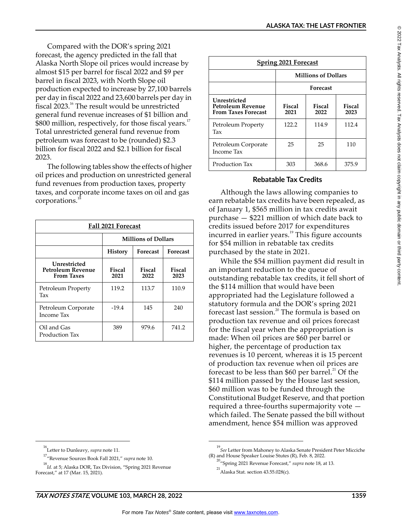Compared with the DOR's spring 2021 forecast, the agency predicted in the fall that Alaska North Slope oil prices would increase by almost \$15 per barrel for fiscal 2022 and \$9 per barrel in fiscal 2023, with North Slope oil production expected to increase by 27,100 barrels per day in fiscal 2022 and 23,600 barrels per day in fiscal 2023.16 The result would be unrestricted general fund revenue increases of \$1 billion and  $$800$  million, respectively, for those fiscal years.<sup>17</sup> Total unrestricted general fund revenue from petroleum was forecast to be (rounded) \$2.3 billion for fiscal 2022 and \$2.1 billion for fiscal 2023.

The following tables show the effects of higher oil prices and production on unrestricted general fund revenues from production taxes, property taxes, and corporate income taxes on oil and gas corporations.<sup>11</sup>

| Fall 2021 Forecast                                     |                            |                       |                 |  |
|--------------------------------------------------------|----------------------------|-----------------------|-----------------|--|
|                                                        | <b>Millions of Dollars</b> |                       |                 |  |
|                                                        | <b>History</b>             | <b>Forecast</b>       | <b>Forecast</b> |  |
| Unrestricted<br>Petroleum Revenue<br><b>From Taxes</b> | Fiscal<br>2021             | <b>Fiscal</b><br>2022 | Fiscal<br>2023  |  |
| Petroleum Property<br>Tax                              | 119.2                      | 113.7                 | 110.9           |  |
| Petroleum Corporate<br>Income Tax                      | $-19.4$                    | 145                   | 240             |  |
| Oil and Gas<br>Production Tax                          | 389                        | 979.6                 | 741.2           |  |

| <b>Spring 2021 Forecast</b>                                     |                            |                |                       |  |
|-----------------------------------------------------------------|----------------------------|----------------|-----------------------|--|
|                                                                 | <b>Millions of Dollars</b> |                |                       |  |
|                                                                 | Forecast                   |                |                       |  |
| Unrestricted<br>Petroleum Revenue<br><b>From Taxes Forecast</b> | <b>Fiscal</b><br>2021      | Fiscal<br>2022 | <b>Fiscal</b><br>2023 |  |
| Petroleum Property<br>Tax                                       | 122.2                      | 114.9          | 112.4                 |  |
| Petroleum Corporate<br>Income Tax                               | 25                         | 25             | 110                   |  |
| Production Tax                                                  | 303                        | 368.6          | 375.9                 |  |

#### **Rebatable Tax Credits**

Although the laws allowing companies to earn rebatable tax credits have been repealed, as of January 1, \$565 million in tax credits await purchase — \$221 million of which date back to credits issued before 2017 for expenditures incurred in earlier years.<sup>19</sup> This figure accounts for \$54 million in rebatable tax credits purchased by the state in 2021.

While the \$54 million payment did result in an important reduction to the queue of outstanding rebatable tax credits, it fell short of the \$114 million that would have been appropriated had the Legislature followed a statutory formula and the DOR's spring 2021 forecast last session.<sup>20</sup> The formula is based on production tax revenue and oil prices forecast for the fiscal year when the appropriation is made: When oil prices are \$60 per barrel or higher, the percentage of production tax revenues is 10 percent, whereas it is 15 percent of production tax revenue when oil prices are forecast to be less than \$60 per barrel.<sup>21</sup> Of the \$114 million passed by the House last session, \$60 million was to be funded through the Constitutional Budget Reserve, and that portion required a three-fourths supermajority vote which failed. The Senate passed the bill without amendment, hence \$54 million was approved

 $^{\circ}$ 

<sup>16</sup> Letter to Dunleavy, *supra* note 11.

<sup>17</sup> "Revenue Sources Book Fall 2021," *supra* note 10.

<sup>18</sup> *Id*. at 5; Alaska DOR, Tax Division, "Spring 2021 Revenue Forecast," at 17 (Mar. 15, 2021).

<sup>19</sup> *See* Letter from Mahoney to Alaska Senate President Peter Micciche (R) and House Speaker Louise Stutes (R), Feb. 8, 2022.

<sup>20</sup> "Spring 2021 Revenue Forecast," *supra* note 18, at 13.

 $^{21}$ Alaska Stat. section 43.55.028(c).